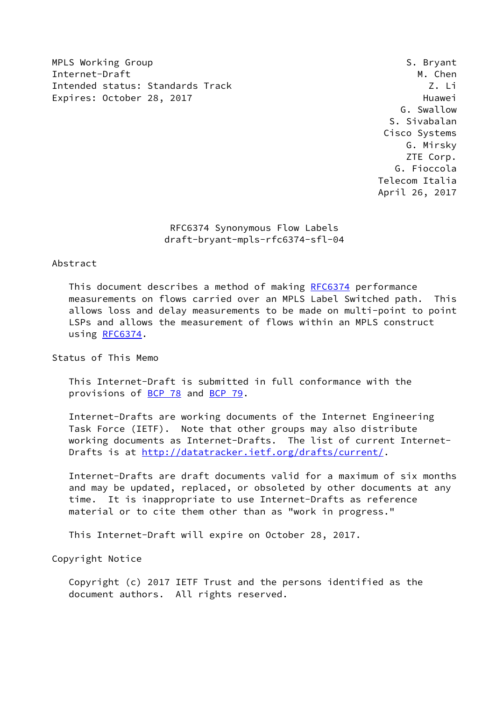MPLS Working Group **S. Bryant** S. Bryant Internet-Draft M. Chen Intended status: Standards Track Z. Li Expires: October 28, 2017 and the expires: October 28, 2017

 G. Swallow S. Sivabalan Cisco Systems G. Mirsky ZTE Corp. G. Fioccola Telecom Italia April 26, 2017

## RFC6374 Synonymous Flow Labels draft-bryant-mpls-rfc6374-sfl-04

### Abstract

 This document describes a method of making [RFC6374](https://datatracker.ietf.org/doc/pdf/rfc6374) performance measurements on flows carried over an MPLS Label Switched path. This allows loss and delay measurements to be made on multi-point to point LSPs and allows the measurement of flows within an MPLS construct using [RFC6374](https://datatracker.ietf.org/doc/pdf/rfc6374).

Status of This Memo

 This Internet-Draft is submitted in full conformance with the provisions of [BCP 78](https://datatracker.ietf.org/doc/pdf/bcp78) and [BCP 79](https://datatracker.ietf.org/doc/pdf/bcp79).

 Internet-Drafts are working documents of the Internet Engineering Task Force (IETF). Note that other groups may also distribute working documents as Internet-Drafts. The list of current Internet Drafts is at<http://datatracker.ietf.org/drafts/current/>.

 Internet-Drafts are draft documents valid for a maximum of six months and may be updated, replaced, or obsoleted by other documents at any time. It is inappropriate to use Internet-Drafts as reference material or to cite them other than as "work in progress."

This Internet-Draft will expire on October 28, 2017.

Copyright Notice

 Copyright (c) 2017 IETF Trust and the persons identified as the document authors. All rights reserved.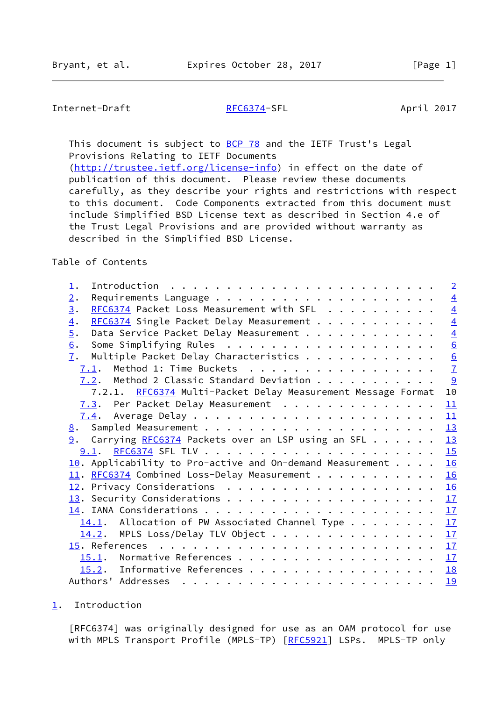# <span id="page-1-1"></span>Internet-Draft [RFC6374-](https://datatracker.ietf.org/doc/pdf/rfc6374)SFL April 2017

This document is subject to **[BCP 78](https://datatracker.ietf.org/doc/pdf/bcp78)** and the IETF Trust's Legal Provisions Relating to IETF Documents [\(http://trustee.ietf.org/license-info](http://trustee.ietf.org/license-info)) in effect on the date of publication of this document. Please review these documents carefully, as they describe your rights and restrictions with respect to this document. Code Components extracted from this document must include Simplified BSD License text as described in Section 4.e of

 the Trust Legal Provisions and are provided without warranty as described in the Simplified BSD License.

### Table of Contents

| 1.                                                                       | $\overline{2}$ |
|--------------------------------------------------------------------------|----------------|
| 2.                                                                       | $\overline{4}$ |
| RFC6374 Packet Loss Measurement with SFL<br>3.                           | $\overline{4}$ |
| RFC6374 Single Packet Delay Measurement<br>$\overline{4}$ .              | $\overline{4}$ |
| 5.<br>Data Service Packet Delay Measurement                              | $\overline{4}$ |
| 6.                                                                       | 6              |
| Multiple Packet Delay Characteristics<br>7.                              |                |
| $7.1$ . Method 1: Time Buckets                                           | $\frac{6}{7}$  |
| 7.2. Method 2 Classic Standard Deviation                                 | 9              |
| 7.2.1. RFC6374 Multi-Packet Delay Measurement Message Format             | 10             |
| 7.3. Per Packet Delay Measurement                                        | 11             |
|                                                                          | 11             |
|                                                                          | 13             |
| 9. Carrying RFC6374 Packets over an LSP using an SFL                     | 13             |
|                                                                          | 15             |
| $\underline{10}$ . Applicability to Pro-active and On-demand Measurement | 16             |
| 11. RFC6374 Combined Loss-Delay Measurement                              | 16             |
|                                                                          | 16             |
|                                                                          | 17             |
|                                                                          | 17             |
| $14.1$ . Allocation of PW Associated Channel Type                        | 17             |
| $14.2$ . MPLS Loss/Delay TLV Object                                      | 17             |
|                                                                          |                |
| 15.1. Normative References                                               | 17             |
| 15.2. Informative References                                             | 18             |
|                                                                          | 19             |

<span id="page-1-0"></span>[1](#page-1-0). Introduction

 [RFC6374] was originally designed for use as an OAM protocol for use with MPLS Transport Profile (MPLS-TP) [[RFC5921](https://datatracker.ietf.org/doc/pdf/rfc5921)] LSPs. MPLS-TP only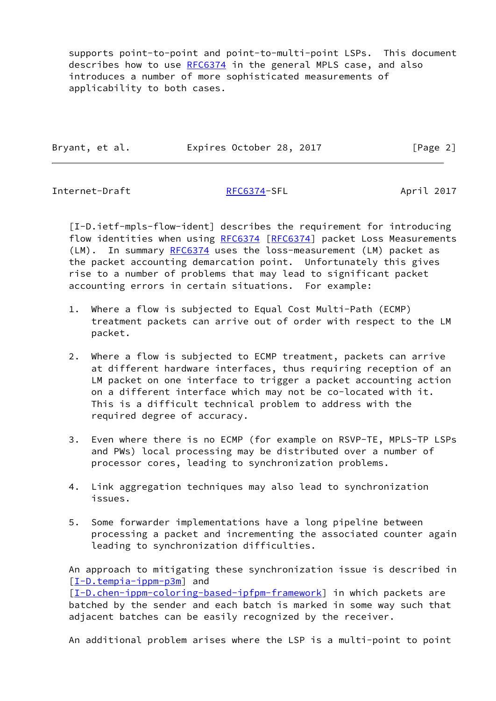supports point-to-point and point-to-multi-point LSPs. This document describes how to use [RFC6374](https://datatracker.ietf.org/doc/pdf/rfc6374) in the general MPLS case, and also introduces a number of more sophisticated measurements of applicability to both cases.

| Bryant, et al. | Expires October 28, 2017 | [Page 2] |
|----------------|--------------------------|----------|
|                |                          |          |

Internet-Draft [RFC6374-](https://datatracker.ietf.org/doc/pdf/rfc6374)SFL April 2017

<span id="page-2-0"></span> [I-D.ietf-mpls-flow-ident] describes the requirement for introducing flow identities when using [RFC6374](https://datatracker.ietf.org/doc/pdf/rfc6374) [[RFC6374\]](https://datatracker.ietf.org/doc/pdf/rfc6374) packet Loss Measurements (LM). In summary [RFC6374](https://datatracker.ietf.org/doc/pdf/rfc6374) uses the loss-measurement (LM) packet as the packet accounting demarcation point. Unfortunately this gives rise to a number of problems that may lead to significant packet accounting errors in certain situations. For example:

- 1. Where a flow is subjected to Equal Cost Multi-Path (ECMP) treatment packets can arrive out of order with respect to the LM packet.
- 2. Where a flow is subjected to ECMP treatment, packets can arrive at different hardware interfaces, thus requiring reception of an LM packet on one interface to trigger a packet accounting action on a different interface which may not be co-located with it. This is a difficult technical problem to address with the required degree of accuracy.
- 3. Even where there is no ECMP (for example on RSVP-TE, MPLS-TP LSPs and PWs) local processing may be distributed over a number of processor cores, leading to synchronization problems.
- 4. Link aggregation techniques may also lead to synchronization issues.
- 5. Some forwarder implementations have a long pipeline between processing a packet and incrementing the associated counter again leading to synchronization difficulties.

 An approach to mitigating these synchronization issue is described in [\[I-D.tempia-ippm-p3m](#page-20-1)] and [\[I-D.chen-ippm-coloring-based-ipfpm-framework](#page-20-2)] in which packets are batched by the sender and each batch is marked in some way such that adjacent batches can be easily recognized by the receiver.

An additional problem arises where the LSP is a multi-point to point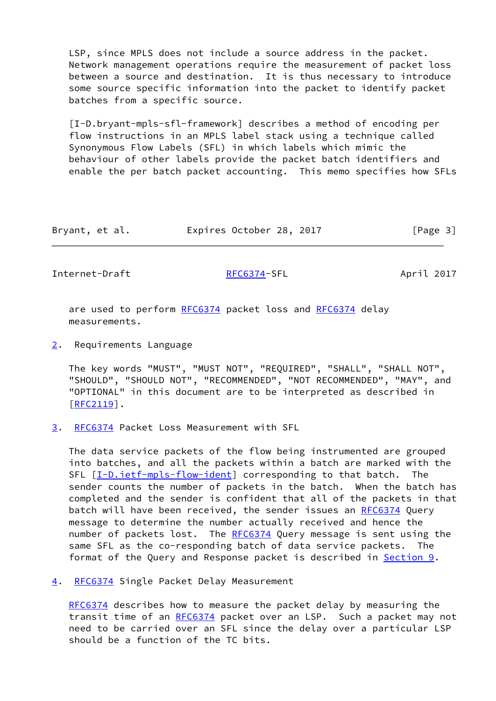LSP, since MPLS does not include a source address in the packet. Network management operations require the measurement of packet loss between a source and destination. It is thus necessary to introduce some source specific information into the packet to identify packet batches from a specific source.

 [I-D.bryant-mpls-sfl-framework] describes a method of encoding per flow instructions in an MPLS label stack using a technique called Synonymous Flow Labels (SFL) in which labels which mimic the behaviour of other labels provide the packet batch identifiers and enable the per batch packet accounting. This memo specifies how SFLs

| Bryant, et al. | Expires October 28, 2017 |  | [Page 3] |
|----------------|--------------------------|--|----------|
|----------------|--------------------------|--|----------|

<span id="page-3-1"></span>Internet-Draft [RFC6374-](https://datatracker.ietf.org/doc/pdf/rfc6374)SFL April 2017

are used to perform [RFC6374](https://datatracker.ietf.org/doc/pdf/rfc6374) packet loss and RFC6374 delay measurements.

<span id="page-3-0"></span>[2](#page-3-0). Requirements Language

 The key words "MUST", "MUST NOT", "REQUIRED", "SHALL", "SHALL NOT", "SHOULD", "SHOULD NOT", "RECOMMENDED", "NOT RECOMMENDED", "MAY", and "OPTIONAL" in this document are to be interpreted as described in [\[RFC2119](https://datatracker.ietf.org/doc/pdf/rfc2119)].

<span id="page-3-2"></span>[3](#page-3-2). [RFC6374](https://datatracker.ietf.org/doc/pdf/rfc6374) Packet Loss Measurement with SFL

 The data service packets of the flow being instrumented are grouped into batches, and all the packets within a batch are marked with the SFL [\[I-D.ietf-mpls-flow-ident](#page-2-0)] corresponding to that batch. The sender counts the number of packets in the batch. When the batch has completed and the sender is confident that all of the packets in that batch will have been received, the sender issues an [RFC6374](https://datatracker.ietf.org/doc/pdf/rfc6374) Query message to determine the number actually received and hence the number of packets lost. The [RFC6374](https://datatracker.ietf.org/doc/pdf/rfc6374) Query message is sent using the same SFL as the co-responding batch of data service packets. The format of the Query and Response packet is described in <u>Section 9</u>.

<span id="page-3-3"></span>[4](#page-3-3). [RFC6374](https://datatracker.ietf.org/doc/pdf/rfc6374) Single Packet Delay Measurement

 [RFC6374](https://datatracker.ietf.org/doc/pdf/rfc6374) describes how to measure the packet delay by measuring the transit time of an [RFC6374](https://datatracker.ietf.org/doc/pdf/rfc6374) packet over an LSP. Such a packet may not need to be carried over an SFL since the delay over a particular LSP should be a function of the TC bits.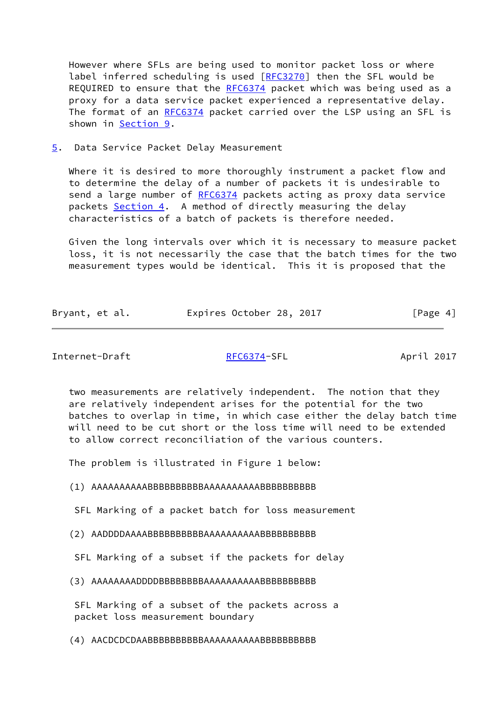However where SFLs are being used to monitor packet loss or where label inferred scheduling is used [[RFC3270](https://datatracker.ietf.org/doc/pdf/rfc3270)] then the SFL would be REQUIRED to ensure that the [RFC6374](https://datatracker.ietf.org/doc/pdf/rfc6374) packet which was being used as a proxy for a data service packet experienced a representative delay. The format of an [RFC6374](https://datatracker.ietf.org/doc/pdf/rfc6374) packet carried over the LSP using an SFL is shown in [Section 9](#page-13-2).

<span id="page-4-0"></span>[5](#page-4-0). Data Service Packet Delay Measurement

Where it is desired to more thoroughly instrument a packet flow and to determine the delay of a number of packets it is undesirable to send a large number of [RFC6374](https://datatracker.ietf.org/doc/pdf/rfc6374) packets acting as proxy data service packets [Section 4](#page-3-3). A method of directly measuring the delay characteristics of a batch of packets is therefore needed.

 Given the long intervals over which it is necessary to measure packet loss, it is not necessarily the case that the batch times for the two measurement types would be identical. This it is proposed that the

| Bryant, et al. | Expires October 28, 2017 | [Page 4] |
|----------------|--------------------------|----------|
|                |                          |          |

Internet-Draft [RFC6374-](https://datatracker.ietf.org/doc/pdf/rfc6374)SFL April 2017

 two measurements are relatively independent. The notion that they are relatively independent arises for the potential for the two batches to overlap in time, in which case either the delay batch time will need to be cut short or the loss time will need to be extended to allow correct reconciliation of the various counters.

The problem is illustrated in Figure 1 below:

(1) AAAAAAAAAABBBBBBBBBBAAAAAAAAAABBBBBBBBBB

SFL Marking of a packet batch for loss measurement

(2) AADDDDAAAABBBBBBBBBBAAAAAAAAAABBBBBBBBBB

SFL Marking of a subset if the packets for delay

(3) AAAAAAAADDDDBBBBBBBBAAAAAAAAAABBBBBBBBBB

 SFL Marking of a subset of the packets across a packet loss measurement boundary

(4) AACDCDCDAABBBBBBBBBBAAAAAAAAAABBBBBBBBBB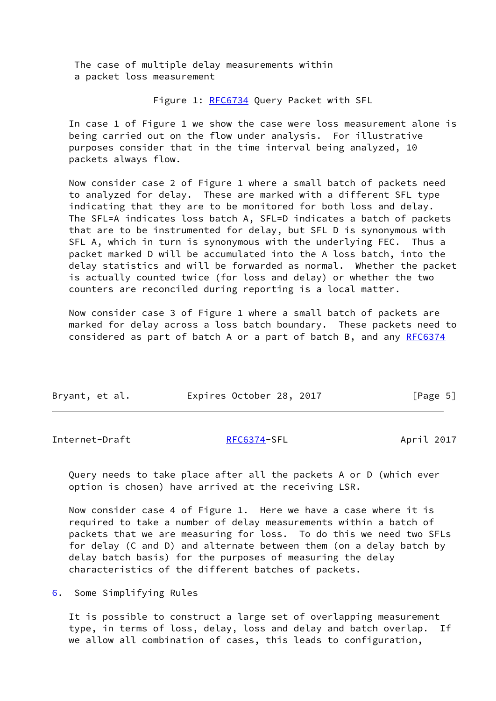The case of multiple delay measurements within a packet loss measurement

Figure 1: [RFC6734](https://datatracker.ietf.org/doc/pdf/rfc6734) Query Packet with SFL

 In case 1 of Figure 1 we show the case were loss measurement alone is being carried out on the flow under analysis. For illustrative purposes consider that in the time interval being analyzed, 10 packets always flow.

 Now consider case 2 of Figure 1 where a small batch of packets need to analyzed for delay. These are marked with a different SFL type indicating that they are to be monitored for both loss and delay. The SFL=A indicates loss batch A, SFL=D indicates a batch of packets that are to be instrumented for delay, but SFL D is synonymous with SFL A, which in turn is synonymous with the underlying FEC. Thus a packet marked D will be accumulated into the A loss batch, into the delay statistics and will be forwarded as normal. Whether the packet is actually counted twice (for loss and delay) or whether the two counters are reconciled during reporting is a local matter.

 Now consider case 3 of Figure 1 where a small batch of packets are marked for delay across a loss batch boundary. These packets need to considered as part of batch A or a part of batch B, and any [RFC6374](https://datatracker.ietf.org/doc/pdf/rfc6374)

| Bryant, et al. | Expires October 28, 2017 |  | [Page 5] |  |
|----------------|--------------------------|--|----------|--|
|                |                          |  |          |  |

<span id="page-5-1"></span>Internet-Draft [RFC6374-](https://datatracker.ietf.org/doc/pdf/rfc6374)SFL April 2017

 Query needs to take place after all the packets A or D (which ever option is chosen) have arrived at the receiving LSR.

 Now consider case 4 of Figure 1. Here we have a case where it is required to take a number of delay measurements within a batch of packets that we are measuring for loss. To do this we need two SFLs for delay (C and D) and alternate between them (on a delay batch by delay batch basis) for the purposes of measuring the delay characteristics of the different batches of packets.

<span id="page-5-0"></span>[6](#page-5-0). Some Simplifying Rules

 It is possible to construct a large set of overlapping measurement type, in terms of loss, delay, loss and delay and batch overlap. If we allow all combination of cases, this leads to configuration,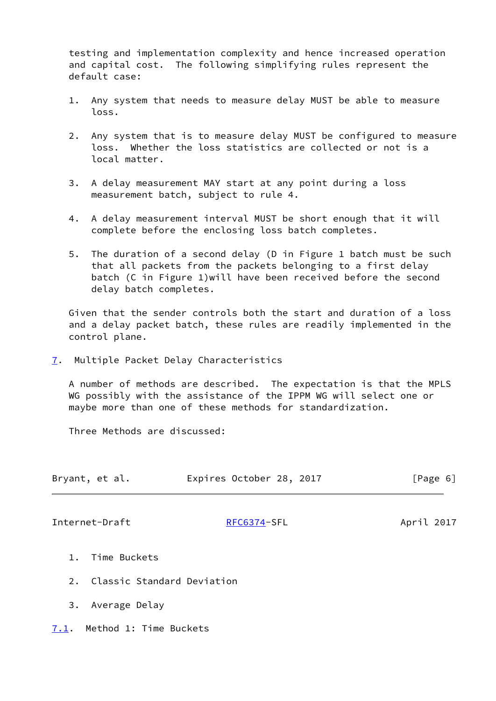testing and implementation complexity and hence increased operation and capital cost. The following simplifying rules represent the default case:

- 1. Any system that needs to measure delay MUST be able to measure loss.
- 2. Any system that is to measure delay MUST be configured to measure loss. Whether the loss statistics are collected or not is a local matter.
- 3. A delay measurement MAY start at any point during a loss measurement batch, subject to rule 4.
- 4. A delay measurement interval MUST be short enough that it will complete before the enclosing loss batch completes.
- 5. The duration of a second delay (D in Figure 1 batch must be such that all packets from the packets belonging to a first delay batch (C in Figure 1)will have been received before the second delay batch completes.

 Given that the sender controls both the start and duration of a loss and a delay packet batch, these rules are readily implemented in the control plane.

<span id="page-6-0"></span>[7](#page-6-0). Multiple Packet Delay Characteristics

 A number of methods are described. The expectation is that the MPLS WG possibly with the assistance of the IPPM WG will select one or maybe more than one of these methods for standardization.

Three Methods are discussed:

| Bryant, et al. | Expires October 28, 2017 | [Page 6] |
|----------------|--------------------------|----------|
|                |                          |          |

<span id="page-6-2"></span>Internet-Draft [RFC6374-](https://datatracker.ietf.org/doc/pdf/rfc6374)SFL April 2017

- 1. Time Buckets
- 2. Classic Standard Deviation
- 3. Average Delay
- <span id="page-6-1"></span>[7.1](#page-6-1). Method 1: Time Buckets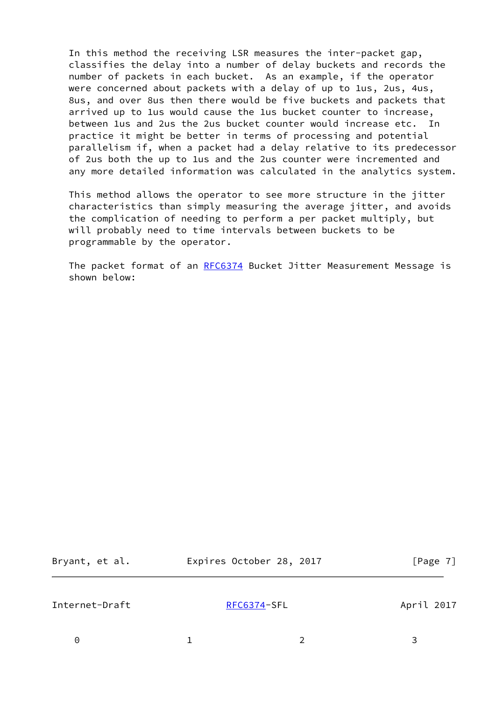In this method the receiving LSR measures the inter-packet gap, classifies the delay into a number of delay buckets and records the number of packets in each bucket. As an example, if the operator were concerned about packets with a delay of up to 1us, 2us, 4us, 8us, and over 8us then there would be five buckets and packets that arrived up to 1us would cause the 1us bucket counter to increase, between 1us and 2us the 2us bucket counter would increase etc. In practice it might be better in terms of processing and potential parallelism if, when a packet had a delay relative to its predecessor of 2us both the up to 1us and the 2us counter were incremented and any more detailed information was calculated in the analytics system.

 This method allows the operator to see more structure in the jitter characteristics than simply measuring the average jitter, and avoids the complication of needing to perform a per packet multiply, but will probably need to time intervals between buckets to be programmable by the operator.

 The packet format of an [RFC6374](https://datatracker.ietf.org/doc/pdf/rfc6374) Bucket Jitter Measurement Message is shown below:

| Bryant, et al. | Expires October 28, 2017 | [Page 7]   |
|----------------|--------------------------|------------|
| Internet-Draft | RFC6374-SFL              | April 2017 |
| $\Theta$       |                          | 3          |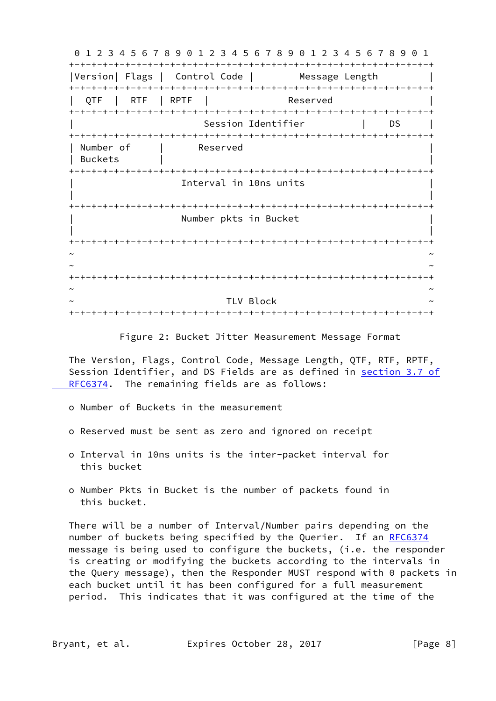0 1 2 3 4 5 6 7 8 9 0 1 2 3 4 5 6 7 8 9 0 1 2 3 4 5 6 7 8 9 0 1 +-+-+-+-+-+-+-+-+-+-+-+-+-+-+-+-+-+-+-+-+-+-+-+-+-+-+-+-+-+-+-+-+ |Version| Flags | Control Code | Message Length +-+-+-+-+-+-+-+-+-+-+-+-+-+-+-+-+-+-+-+-+-+-+-+-+-+-+-+-+-+-+-+-+ QTF | RTF | RPTF | Reserved +-+-+-+-+-+-+-+-+-+-+-+-+-+-+-+-+-+-+-+-+-+-+-+-+-+-+-+-+-+-+-+-+ Session Identifier | DS +-+-+-+-+-+-+-+-+-+-+-+-+-+-+-+-+-+-+-+-+-+-+-+-+-+-+-+-+-+-+-+-+ | Number of | Reserved | Buckets | | +-+-+-+-+-+-+-+-+-+-+-+-+-+-+-+-+-+-+-+-+-+-+-+-+-+-+-+-+-+-+-+-+ Interval in 10ns units | | +-+-+-+-+-+-+-+-+-+-+-+-+-+-+-+-+-+-+-+-+-+-+-+-+-+-+-+-+-+-+-+-+ Number pkts in Bucket | | +-+-+-+-+-+-+-+-+-+-+-+-+-+-+-+-+-+-+-+-+-+-+-+-+-+-+-+-+-+-+-+-+ ~ ~ ~ ~ +-+-+-+-+-+-+-+-+-+-+-+-+-+-+-+-+-+-+-+-+-+-+-+-+-+-+-+-+-+-+-+-+ ~ ~ TLV Block +-+-+-+-+-+-+-+-+-+-+-+-+-+-+-+-+-+-+-+-+-+-+-+-+-+-+-+-+-+-+-+-+

Figure 2: Bucket Jitter Measurement Message Format

 The Version, Flags, Control Code, Message Length, QTF, RTF, RPTF, Session Identifier, and DS Fields are as defined in [section](https://datatracker.ietf.org/doc/pdf/rfc6374#section-3.7) 3.7 of RFC6374. The remaining fields are as follows:

- o Number of Buckets in the measurement
- o Reserved must be sent as zero and ignored on receipt
- o Interval in 10ns units is the inter-packet interval for this bucket
- o Number Pkts in Bucket is the number of packets found in this bucket.

 There will be a number of Interval/Number pairs depending on the number of buckets being specified by the Querier. If an [RFC6374](https://datatracker.ietf.org/doc/pdf/rfc6374) message is being used to configure the buckets, (i.e. the responder is creating or modifying the buckets according to the intervals in the Query message), then the Responder MUST respond with 0 packets in each bucket until it has been configured for a full measurement period. This indicates that it was configured at the time of the

Bryant, et al. Expires October 28, 2017 [Page 8]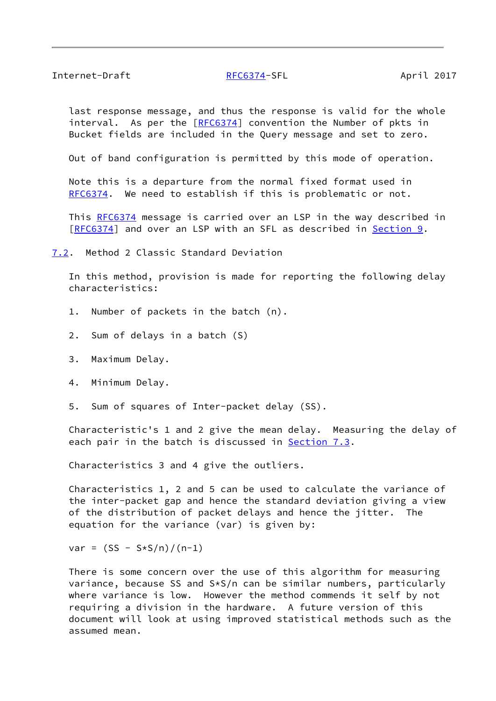<span id="page-9-1"></span> last response message, and thus the response is valid for the whole interval. As per the [[RFC6374](https://datatracker.ietf.org/doc/pdf/rfc6374)] convention the Number of pkts in Bucket fields are included in the Query message and set to zero.

Out of band configuration is permitted by this mode of operation.

 Note this is a departure from the normal fixed format used in [RFC6374](https://datatracker.ietf.org/doc/pdf/rfc6374). We need to establish if this is problematic or not.

This [RFC6374](https://datatracker.ietf.org/doc/pdf/rfc6374) message is carried over an LSP in the way described in [\[RFC6374](https://datatracker.ietf.org/doc/pdf/rfc6374)] and over an LSP with an SFL as described in [Section 9.](#page-13-2)

<span id="page-9-0"></span>[7.2](#page-9-0). Method 2 Classic Standard Deviation

 In this method, provision is made for reporting the following delay characteristics:

- 1. Number of packets in the batch (n).
- 2. Sum of delays in a batch (S)
- 3. Maximum Delay.
- 4. Minimum Delay.
- 5. Sum of squares of Inter-packet delay (SS).

 Characteristic's 1 and 2 give the mean delay. Measuring the delay of each pair in the batch is discussed in **[Section 7.3](#page-11-0).** 

Characteristics 3 and 4 give the outliers.

 Characteristics 1, 2 and 5 can be used to calculate the variance of the inter-packet gap and hence the standard deviation giving a view of the distribution of packet delays and hence the jitter. The equation for the variance (var) is given by:

 $var = (SS - S*S/n)/(n-1)$ 

 There is some concern over the use of this algorithm for measuring variance, because SS and S\*S/n can be similar numbers, particularly where variance is low. However the method commends it self by not requiring a division in the hardware. A future version of this document will look at using improved statistical methods such as the assumed mean.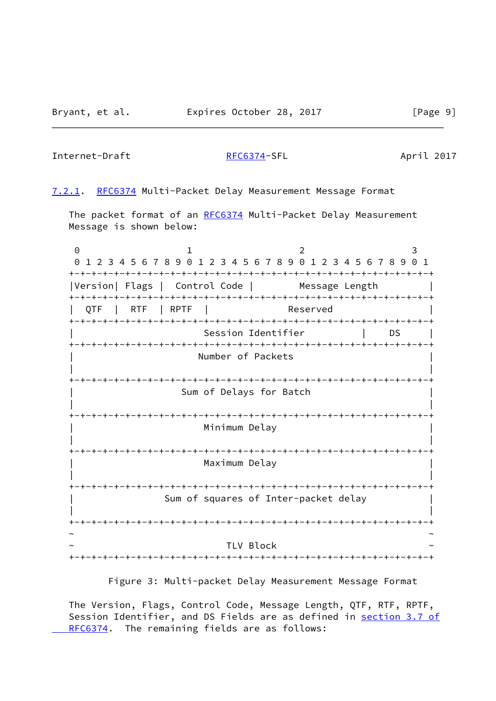Internet-Draft [RFC6374-](https://datatracker.ietf.org/doc/pdf/rfc6374)SFL April 2017

<span id="page-10-0"></span>[7.2.1](#page-10-0). [RFC6374](https://datatracker.ietf.org/doc/pdf/rfc6374) Multi-Packet Delay Measurement Message Format

The packet format of an [RFC6374](https://datatracker.ietf.org/doc/pdf/rfc6374) Multi-Packet Delay Measurement Message is shown below:

0 1 2 3 0 1 2 3 4 5 6 7 8 9 0 1 2 3 4 5 6 7 8 9 0 1 2 3 4 5 6 7 8 9 0 1 +-+-+-+-+-+-+-+-+-+-+-+-+-+-+-+-+-+-+-+-+-+-+-+-+-+-+-+-+-+-+-+-+ |Version| Flags | Control Code | Message Length +-+-+-+-+-+-+-+-+-+-+-+-+-+-+-+-+-+-+-+-+-+-+-+-+-+-+-+-+-+-+-+-+ QTF | RTF | RPTF | Reserved +-+-+-+-+-+-+-+-+-+-+-+-+-+-+-+-+-+-+-+-+-+-+-+-+-+-+-+-+-+-+-+-+ Session Identifier | DS | +-+-+-+-+-+-+-+-+-+-+-+-+-+-+-+-+-+-+-+-+-+-+-+-+-+-+-+-+-+-+-+-+ Number of Packets | | +-+-+-+-+-+-+-+-+-+-+-+-+-+-+-+-+-+-+-+-+-+-+-+-+-+-+-+-+-+-+-+-+ Sum of Delays for Batch | | +-+-+-+-+-+-+-+-+-+-+-+-+-+-+-+-+-+-+-+-+-+-+-+-+-+-+-+-+-+-+-+-+ Minimum Delay | | +-+-+-+-+-+-+-+-+-+-+-+-+-+-+-+-+-+-+-+-+-+-+-+-+-+-+-+-+-+-+-+-+ Maximum Delay | | +-+-+-+-+-+-+-+-+-+-+-+-+-+-+-+-+-+-+-+-+-+-+-+-+-+-+-+-+-+-+-+-+ Sum of squares of Inter-packet delay | | +-+-+-+-+-+-+-+-+-+-+-+-+-+-+-+-+-+-+-+-+-+-+-+-+-+-+-+-+-+-+-+-+ ~ ~ TLV Block +-+-+-+-+-+-+-+-+-+-+-+-+-+-+-+-+-+-+-+-+-+-+-+-+-+-+-+-+-+-+-+-+

Figure 3: Multi-packet Delay Measurement Message Format

 The Version, Flags, Control Code, Message Length, QTF, RTF, RPTF, Session Identifier, and DS Fields are as defined in [section](https://datatracker.ietf.org/doc/pdf/rfc6374#section-3.7) 3.7 of  [RFC6374.](https://datatracker.ietf.org/doc/pdf/rfc6374#section-3.7) The remaining fields are as follows: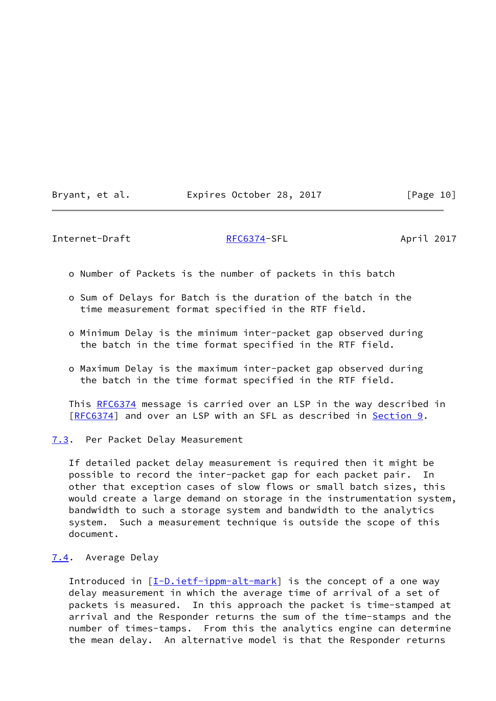|  | Expires October 28, 2017 | Bryant, et al. |
|--|--------------------------|----------------|
|--|--------------------------|----------------|

 $[Page 10]$ 

<span id="page-11-1"></span>Internet-Draft [RFC6374-](https://datatracker.ietf.org/doc/pdf/rfc6374)SFL April 2017

- o Number of Packets is the number of packets in this batch
- o Sum of Delays for Batch is the duration of the batch in the time measurement format specified in the RTF field.
- o Minimum Delay is the minimum inter-packet gap observed during the batch in the time format specified in the RTF field.
- o Maximum Delay is the maximum inter-packet gap observed during the batch in the time format specified in the RTF field.

This [RFC6374](https://datatracker.ietf.org/doc/pdf/rfc6374) message is carried over an LSP in the way described in [\[RFC6374](https://datatracker.ietf.org/doc/pdf/rfc6374)] and over an LSP with an SFL as described in <u>Section 9</u>.

<span id="page-11-0"></span>[7.3](#page-11-0). Per Packet Delay Measurement

 If detailed packet delay measurement is required then it might be possible to record the inter-packet gap for each packet pair. In other that exception cases of slow flows or small batch sizes, this would create a large demand on storage in the instrumentation system, bandwidth to such a storage system and bandwidth to the analytics system. Such a measurement technique is outside the scope of this document.

<span id="page-11-2"></span>[7.4](#page-11-2). Average Delay

 Introduced in [[I-D.ietf-ippm-alt-mark](#page-20-3)] is the concept of a one way delay measurement in which the average time of arrival of a set of packets is measured. In this approach the packet is time-stamped at arrival and the Responder returns the sum of the time-stamps and the number of times-tamps. From this the analytics engine can determine the mean delay. An alternative model is that the Responder returns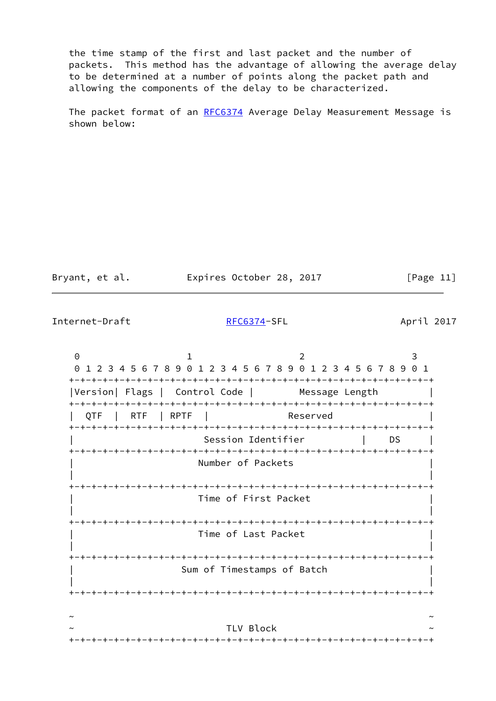the time stamp of the first and last packet and the number of packets. This method has the advantage of allowing the average delay to be determined at a number of points along the packet path and allowing the components of the delay to be characterized.

The packet format of an [RFC6374](https://datatracker.ietf.org/doc/pdf/rfc6374) Average Delay Measurement Message is shown below:

| Bryant, et al. | Expires October 28, 2017 | [Page 11] |
|----------------|--------------------------|-----------|
|                |                          |           |

Internet-Draft [RFC6374-](https://datatracker.ietf.org/doc/pdf/rfc6374)SFL April 2017

0 1 2 3 0 1 2 3 4 5 6 7 8 9 0 1 2 3 4 5 6 7 8 9 0 1 2 3 4 5 6 7 8 9 0 1 +-+-+-+-+-+-+-+-+-+-+-+-+-+-+-+-+-+-+-+-+-+-+-+-+-+-+-+-+-+-+-+-+ |Version| Flags | Control Code | Message Length | +-+-+-+-+-+-+-+-+-+-+-+-+-+-+-+-+-+-+-+-+-+-+-+-+-+-+-+-+-+-+-+-+ QTF | RTF | RPTF | Reserved +-+-+-+-+-+-+-+-+-+-+-+-+-+-+-+-+-+-+-+-+-+-+-+-+-+-+-+-+-+-+-+-+ Session Identifier | DS +-+-+-+-+-+-+-+-+-+-+-+-+-+-+-+-+-+-+-+-+-+-+-+-+-+-+-+-+-+-+-+-+ Number of Packets | | +-+-+-+-+-+-+-+-+-+-+-+-+-+-+-+-+-+-+-+-+-+-+-+-+-+-+-+-+-+-+-+-+ | Time of First Packet | | | +-+-+-+-+-+-+-+-+-+-+-+-+-+-+-+-+-+-+-+-+-+-+-+-+-+-+-+-+-+-+-+-+ | Time of Last Packet | | | +-+-+-+-+-+-+-+-+-+-+-+-+-+-+-+-+-+-+-+-+-+-+-+-+-+-+-+-+-+-+-+-+ Sum of Timestamps of Batch | | +-+-+-+-+-+-+-+-+-+-+-+-+-+-+-+-+-+-+-+-+-+-+-+-+-+-+-+-+-+-+-+-+ ~ ~ TLV Block +-+-+-+-+-+-+-+-+-+-+-+-+-+-+-+-+-+-+-+-+-+-+-+-+-+-+-+-+-+-+-+-+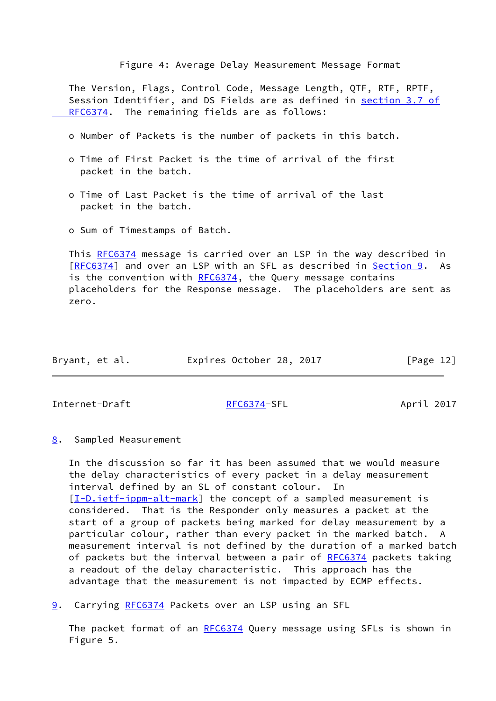Figure 4: Average Delay Measurement Message Format

 The Version, Flags, Control Code, Message Length, QTF, RTF, RPTF, Session Identifier, and DS Fields are as defined in [section](https://datatracker.ietf.org/doc/pdf/rfc6374#section-3.7) 3.7 of  [RFC6374.](https://datatracker.ietf.org/doc/pdf/rfc6374#section-3.7) The remaining fields are as follows:

- o Number of Packets is the number of packets in this batch.
- o Time of First Packet is the time of arrival of the first packet in the batch.
- o Time of Last Packet is the time of arrival of the last packet in the batch.
- o Sum of Timestamps of Batch.

 This [RFC6374](https://datatracker.ietf.org/doc/pdf/rfc6374) message is carried over an LSP in the way described in [\[RFC6374](https://datatracker.ietf.org/doc/pdf/rfc6374)] and over an LSP with an SFL as described in [Section 9.](#page-13-2) As is the convention with [RFC6374](https://datatracker.ietf.org/doc/pdf/rfc6374), the Query message contains placeholders for the Response message. The placeholders are sent as zero.

| Expires October 28, 2017<br>Bryant, et al. | [Page 12] |
|--------------------------------------------|-----------|
|--------------------------------------------|-----------|

<span id="page-13-1"></span>Internet-Draft [RFC6374-](https://datatracker.ietf.org/doc/pdf/rfc6374)SFL April 2017

<span id="page-13-0"></span>[8](#page-13-0). Sampled Measurement

 In the discussion so far it has been assumed that we would measure the delay characteristics of every packet in a delay measurement interval defined by an SL of constant colour. In [\[I-D.ietf-ippm-alt-mark](#page-20-3)] the concept of a sampled measurement is considered. That is the Responder only measures a packet at the start of a group of packets being marked for delay measurement by a particular colour, rather than every packet in the marked batch. A measurement interval is not defined by the duration of a marked batch of packets but the interval between a pair of [RFC6374](https://datatracker.ietf.org/doc/pdf/rfc6374) packets taking a readout of the delay characteristic. This approach has the advantage that the measurement is not impacted by ECMP effects.

<span id="page-13-2"></span>[9](#page-13-2). Carrying [RFC6374](https://datatracker.ietf.org/doc/pdf/rfc6374) Packets over an LSP using an SFL

The packet format of an [RFC6374](https://datatracker.ietf.org/doc/pdf/rfc6374) Query message using SFLs is shown in Figure 5.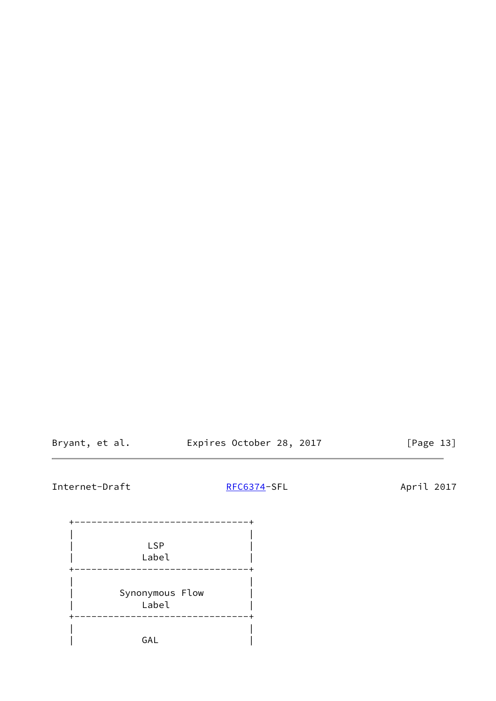Bryant, et al. **Expires October 28, 2017** [Page 13]

# Internet-Draft [RFC6374-](https://datatracker.ietf.org/doc/pdf/rfc6374)SFL April 2017

 +-------------------------------+ | |  $\begin{array}{ccc} \vert & & \vert & \vert \end{array}$  LSP  $\begin{array}{ccc} \vert & & \vert & \vert \end{array}$  | Label | +-------------------------------+ | | | Synonymous Flow | | Label | +-------------------------------+ | | | GAL |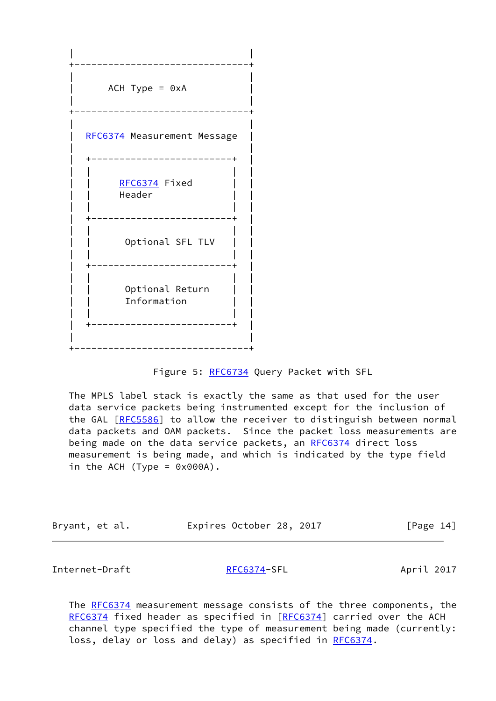

### Figure 5: [RFC6734](https://datatracker.ietf.org/doc/pdf/rfc6734) Query Packet with SFL

 The MPLS label stack is exactly the same as that used for the user data service packets being instrumented except for the inclusion of the GAL [\[RFC5586](https://datatracker.ietf.org/doc/pdf/rfc5586)] to allow the receiver to distinguish between normal data packets and OAM packets. Since the packet loss measurements are being made on the data service packets, an [RFC6374](https://datatracker.ietf.org/doc/pdf/rfc6374) direct loss measurement is being made, and which is indicated by the type field in the ACH (Type =  $0 \times 000$ A).

| Bryant, et al. | Expires October 28, 2017 |  | [Page 14] |
|----------------|--------------------------|--|-----------|
|----------------|--------------------------|--|-----------|

<span id="page-15-0"></span>Internet-Draft [RFC6374-](https://datatracker.ietf.org/doc/pdf/rfc6374)SFL April 2017

The [RFC6374](https://datatracker.ietf.org/doc/pdf/rfc6374) measurement message consists of the three components, the [RFC6374](https://datatracker.ietf.org/doc/pdf/rfc6374) fixed header as specified in [\[RFC6374](https://datatracker.ietf.org/doc/pdf/rfc6374)] carried over the ACH channel type specified the type of measurement being made (currently: loss, delay or loss and delay) as specified in [RFC6374](https://datatracker.ietf.org/doc/pdf/rfc6374).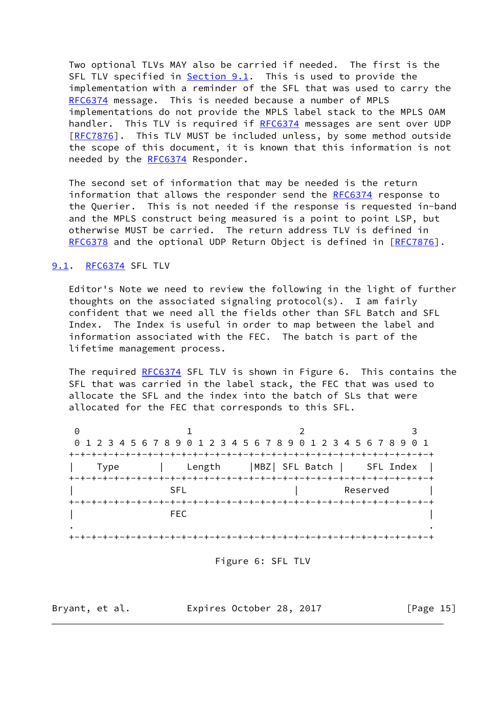Two optional TLVs MAY also be carried if needed. The first is the SFL TLV specified in [Section 9.1](#page-16-0). This is used to provide the implementation with a reminder of the SFL that was used to carry the [RFC6374](https://datatracker.ietf.org/doc/pdf/rfc6374) message. This is needed because a number of MPLS implementations do not provide the MPLS label stack to the MPLS OAM handler. This TLV is required if [RFC6374](https://datatracker.ietf.org/doc/pdf/rfc6374) messages are sent over UDP [\[RFC7876](https://datatracker.ietf.org/doc/pdf/rfc7876)]. This TLV MUST be included unless, by some method outside the scope of this document, it is known that this information is not needed by the [RFC6374](https://datatracker.ietf.org/doc/pdf/rfc6374) Responder.

 The second set of information that may be needed is the return information that allows the responder send the [RFC6374](https://datatracker.ietf.org/doc/pdf/rfc6374) response to the Querier. This is not needed if the response is requested in-band and the MPLS construct being measured is a point to point LSP, but otherwise MUST be carried. The return address TLV is defined in [RFC6378](https://datatracker.ietf.org/doc/pdf/rfc6378) and the optional UDP Return Object is defined in [\[RFC7876](https://datatracker.ietf.org/doc/pdf/rfc7876)].

### <span id="page-16-0"></span>[9.1](#page-16-0). [RFC6374](https://datatracker.ietf.org/doc/pdf/rfc6374) SFL TLV

 Editor's Note we need to review the following in the light of further thoughts on the associated signaling protocol(s). I am fairly confident that we need all the fields other than SFL Batch and SFL Index. The Index is useful in order to map between the label and information associated with the FEC. The batch is part of the lifetime management process.

The required [RFC6374](https://datatracker.ietf.org/doc/pdf/rfc6374) SFL TLV is shown in Figure 6. This contains the SFL that was carried in the label stack, the FEC that was used to allocate the SFL and the index into the batch of SLs that were allocated for the FEC that corresponds to this SFL.

0 1 2 3 0 1 2 3 4 5 6 7 8 9 0 1 2 3 4 5 6 7 8 9 0 1 2 3 4 5 6 7 8 9 0 1 +-+-+-+-+-+-+-+-+-+-+-+-+-+-+-+-+-+-+-+-+-+-+-+-+-+-+-+-+-+-+-+-+ | Type | Length |MBZ| SFL Batch | SFL Index | +-+-+-+-+-+-+-+-+-+-+-+-+-+-+-+-+-+-+-+-+-+-+-+-+-+-+-+-+-+-+-+-+ | Reserved | Reserved | +-+-+-+-+-+-+-+-+-+-+-+-+-+-+-+-+-+-+-+-+-+-+-+-+-+-+-+-+-+-+-+-+  $\begin{bmatrix} 1 & 1 & 1 & 1 \ 1 & 1 & 1 & 1 \ 1 & 1 & 1 & 1 \ 1 & 1 & 1 & 1 \ 1 & 1 & 1 & 1 \ 1 & 1 & 1 & 1 \ 1 & 1 & 1 & 1 \ 1 & 1 & 1 & 1 \ 1 & 1 & 1 & 1 \ 1 & 1 & 1 & 1 \ 1 & 1 & 1 & 1 \ 1 & 1 & 1 & 1 \ 1 & 1 & 1 & 1 \ 1 & 1 & 1 & 1 \ 1 & 1 & 1 & 1 \ 1 & 1 & 1 & 1 \ 1 & 1 & 1 & 1 \ 1 & 1 & 1 &$  . . +-+-+-+-+-+-+-+-+-+-+-+-+-+-+-+-+-+-+-+-+-+-+-+-+-+-+-+-+-+-+-+-+

Figure 6: SFL TLV

Bryant, et al. Expires October 28, 2017 [Page 15]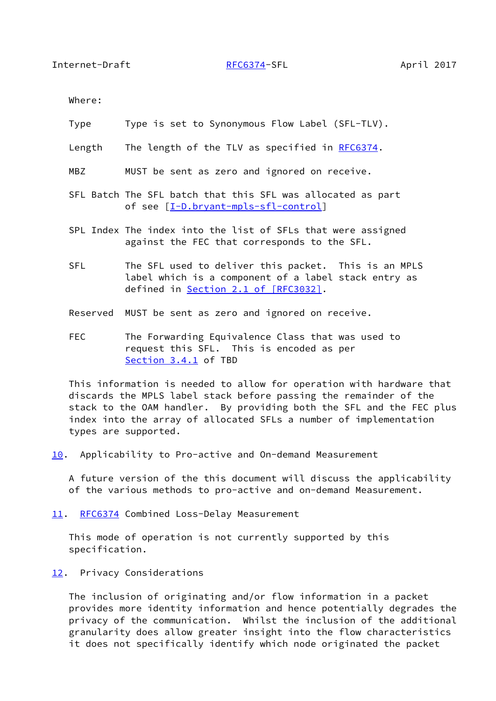<span id="page-17-1"></span>Where:

- Type Type is set to Synonymous Flow Label (SFL-TLV).
- Length The length of the TLV as specified in [RFC6374](https://datatracker.ietf.org/doc/pdf/rfc6374).
- MBZ MUST be sent as zero and ignored on receive.
- SFL Batch The SFL batch that this SFL was allocated as part of see [\[I-D.bryant-mpls-sfl-control](#page-19-4)]
- SPL Index The index into the list of SFLs that were assigned against the FEC that corresponds to the SFL.
- SFL The SFL used to deliver this packet. This is an MPLS label which is a component of a label stack entry as defined in Section [2.1 of \[RFC3032\]](https://datatracker.ietf.org/doc/pdf/rfc3032#section-2.1).
- Reserved MUST be sent as zero and ignored on receive.
- FEC The Forwarding Equivalence Class that was used to request this SFL. This is encoded as per Section 3.4.1 of TBD

 This information is needed to allow for operation with hardware that discards the MPLS label stack before passing the remainder of the stack to the OAM handler. By providing both the SFL and the FEC plus index into the array of allocated SFLs a number of implementation types are supported.

<span id="page-17-0"></span>[10.](#page-17-0) Applicability to Pro-active and On-demand Measurement

 A future version of the this document will discuss the applicability of the various methods to pro-active and on-demand Measurement.

<span id="page-17-2"></span>[11.](#page-17-2) [RFC6374](https://datatracker.ietf.org/doc/pdf/rfc6374) Combined Loss-Delay Measurement

 This mode of operation is not currently supported by this specification.

<span id="page-17-3"></span>[12.](#page-17-3) Privacy Considerations

 The inclusion of originating and/or flow information in a packet provides more identity information and hence potentially degrades the privacy of the communication. Whilst the inclusion of the additional granularity does allow greater insight into the flow characteristics it does not specifically identify which node originated the packet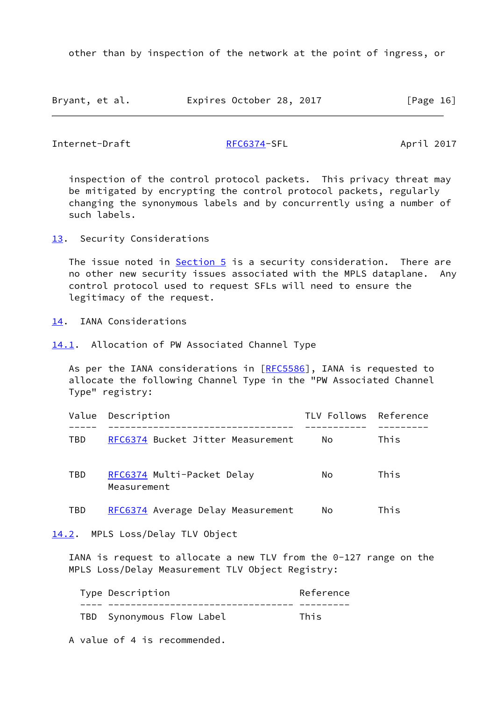other than by inspection of the network at the point of ingress, or

| Bryant, et al. | Expires October 28, 2017 |  | [Page 16] |
|----------------|--------------------------|--|-----------|
|----------------|--------------------------|--|-----------|

<span id="page-18-1"></span>Internet-Draft [RFC6374-](https://datatracker.ietf.org/doc/pdf/rfc6374)SFL April 2017

 inspection of the control protocol packets. This privacy threat may be mitigated by encrypting the control protocol packets, regularly changing the synonymous labels and by concurrently using a number of such labels.

<span id="page-18-0"></span>[13.](#page-18-0) Security Considerations

The issue noted in  $Section 5$  is a security consideration. There are no other new security issues associated with the MPLS dataplane. Any control protocol used to request SFLs will need to ensure the legitimacy of the request.

<span id="page-18-2"></span>[14.](#page-18-2) IANA Considerations

<span id="page-18-3"></span>[14.1](#page-18-3). Allocation of PW Associated Channel Type

As per the IANA considerations in [[RFC5586](https://datatracker.ietf.org/doc/pdf/rfc5586)], IANA is requested to allocate the following Channel Type in the "PW Associated Channel Type" registry:

|     | Value Description                         | TLV Follows Reference |      |
|-----|-------------------------------------------|-----------------------|------|
| TBD | RFC6374 Bucket Jitter Measurement         | No.                   | This |
| TBD | RFC6374 Multi-Packet Delay<br>Measurement | No.                   | This |
| TBD | RFC6374 Average Delay Measurement         | No                    | This |

<span id="page-18-4"></span>[14.2](#page-18-4). MPLS Loss/Delay TLV Object

 IANA is request to allocate a new TLV from the 0-127 range on the MPLS Loss/Delay Measurement TLV Object Registry:

|  | Type Description          | Reference |
|--|---------------------------|-----------|
|  |                           |           |
|  | TBD Synonymous Flow Label | This      |

A value of 4 is recommended.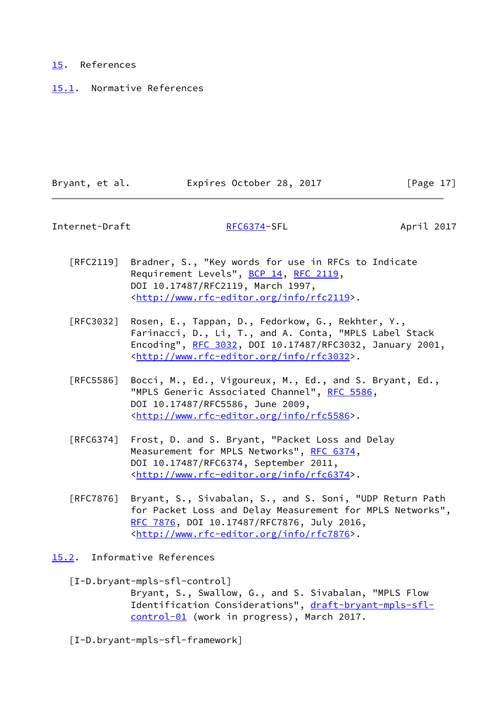### <span id="page-19-0"></span>[15.](#page-19-0) References

<span id="page-19-1"></span>[15.1](#page-19-1). Normative References

| Bryant, et al. | Expires October 28, 2017 | [Page 17] |
|----------------|--------------------------|-----------|

<span id="page-19-3"></span>Internet-Draft [RFC6374-](https://datatracker.ietf.org/doc/pdf/rfc6374)SFL April 2017

- [RFC2119] Bradner, S., "Key words for use in RFCs to Indicate Requirement Levels", [BCP 14](https://datatracker.ietf.org/doc/pdf/bcp14), [RFC 2119](https://datatracker.ietf.org/doc/pdf/rfc2119), DOI 10.17487/RFC2119, March 1997, <<http://www.rfc-editor.org/info/rfc2119>>.
- [RFC3032] Rosen, E., Tappan, D., Fedorkow, G., Rekhter, Y., Farinacci, D., Li, T., and A. Conta, "MPLS Label Stack Encoding", [RFC 3032](https://datatracker.ietf.org/doc/pdf/rfc3032), DOI 10.17487/RFC3032, January 2001, <<http://www.rfc-editor.org/info/rfc3032>>.
- [RFC5586] Bocci, M., Ed., Vigoureux, M., Ed., and S. Bryant, Ed., "MPLS Generic Associated Channel", [RFC 5586](https://datatracker.ietf.org/doc/pdf/rfc5586), DOI 10.17487/RFC5586, June 2009, <<http://www.rfc-editor.org/info/rfc5586>>.
- [RFC6374] Frost, D. and S. Bryant, "Packet Loss and Delay Measurement for MPLS Networks", [RFC 6374,](https://datatracker.ietf.org/doc/pdf/rfc6374) DOI 10.17487/RFC6374, September 2011, <<http://www.rfc-editor.org/info/rfc6374>>.
- [RFC7876] Bryant, S., Sivabalan, S., and S. Soni, "UDP Return Path for Packet Loss and Delay Measurement for MPLS Networks", [RFC 7876,](https://datatracker.ietf.org/doc/pdf/rfc7876) DOI 10.17487/RFC7876, July 2016, <<http://www.rfc-editor.org/info/rfc7876>>.
- <span id="page-19-4"></span><span id="page-19-2"></span>[15.2](#page-19-2). Informative References
	- [I-D.bryant-mpls-sfl-control]

 Bryant, S., Swallow, G., and S. Sivabalan, "MPLS Flow Identification Considerations", [draft-bryant-mpls-sfl](https://datatracker.ietf.org/doc/pdf/draft-bryant-mpls-sfl-control-01) [control-01](https://datatracker.ietf.org/doc/pdf/draft-bryant-mpls-sfl-control-01) (work in progress), March 2017.

[I-D.bryant-mpls-sfl-framework]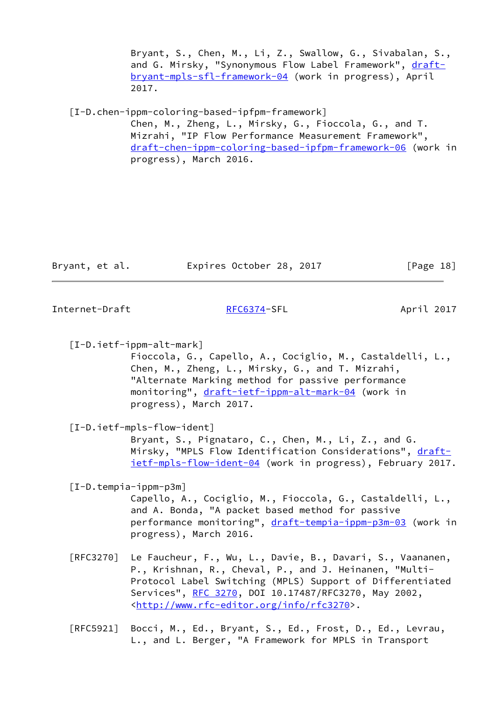Bryant, S., Chen, M., Li, Z., Swallow, G., Sivabalan, S., and G. Mirsky, "Synonymous Flow Label Framework", [draft](https://datatracker.ietf.org/doc/pdf/draft-bryant-mpls-sfl-framework-04) [bryant-mpls-sfl-framework-04](https://datatracker.ietf.org/doc/pdf/draft-bryant-mpls-sfl-framework-04) (work in progress), April 2017.

<span id="page-20-2"></span>[I-D.chen-ippm-coloring-based-ipfpm-framework]

 Chen, M., Zheng, L., Mirsky, G., Fioccola, G., and T. Mizrahi, "IP Flow Performance Measurement Framework", [draft-chen-ippm-coloring-based-ipfpm-framework-06](https://datatracker.ietf.org/doc/pdf/draft-chen-ippm-coloring-based-ipfpm-framework-06) (work in progress), March 2016.

| Bryant, et al. | Expires October 28, 2017<br>[Page 18] |
|----------------|---------------------------------------|
|----------------|---------------------------------------|

<span id="page-20-0"></span>Internet-Draft [RFC6374-](https://datatracker.ietf.org/doc/pdf/rfc6374)SFL April 2017

<span id="page-20-3"></span> [I-D.ietf-ippm-alt-mark] Fioccola, G., Capello, A., Cociglio, M., Castaldelli, L., Chen, M., Zheng, L., Mirsky, G., and T. Mizrahi,

 "Alternate Marking method for passive performance monitoring", [draft-ietf-ippm-alt-mark-04](https://datatracker.ietf.org/doc/pdf/draft-ietf-ippm-alt-mark-04) (work in progress), March 2017.

[I-D.ietf-mpls-flow-ident]

 Bryant, S., Pignataro, C., Chen, M., Li, Z., and G. Mirsky, "MPLS Flow Identification Considerations", [draft](https://datatracker.ietf.org/doc/pdf/draft-ietf-mpls-flow-ident-04) [ietf-mpls-flow-ident-04](https://datatracker.ietf.org/doc/pdf/draft-ietf-mpls-flow-ident-04) (work in progress), February 2017.

<span id="page-20-1"></span>[I-D.tempia-ippm-p3m]

 Capello, A., Cociglio, M., Fioccola, G., Castaldelli, L., and A. Bonda, "A packet based method for passive performance monitoring", [draft-tempia-ippm-p3m-03](https://datatracker.ietf.org/doc/pdf/draft-tempia-ippm-p3m-03) (work in progress), March 2016.

 [RFC3270] Le Faucheur, F., Wu, L., Davie, B., Davari, S., Vaananen, P., Krishnan, R., Cheval, P., and J. Heinanen, "Multi- Protocol Label Switching (MPLS) Support of Differentiated Services", [RFC 3270](https://datatracker.ietf.org/doc/pdf/rfc3270), DOI 10.17487/RFC3270, May 2002, <<http://www.rfc-editor.org/info/rfc3270>>.

 [RFC5921] Bocci, M., Ed., Bryant, S., Ed., Frost, D., Ed., Levrau, L., and L. Berger, "A Framework for MPLS in Transport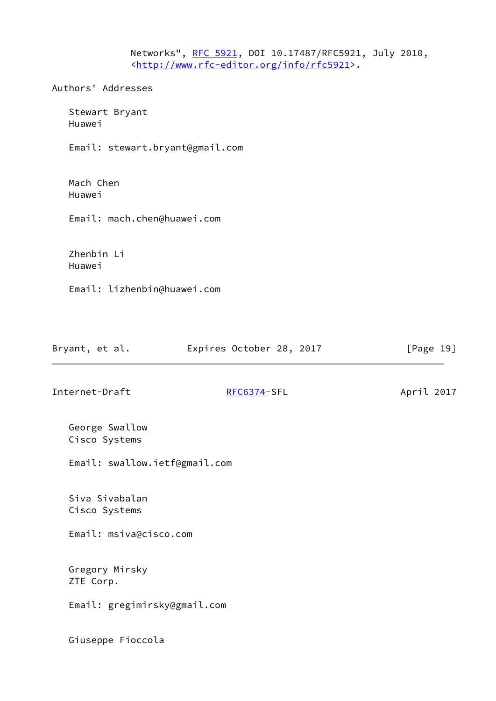Networks", [RFC 5921](https://datatracker.ietf.org/doc/pdf/rfc5921), DOI 10.17487/RFC5921, July 2010, <<http://www.rfc-editor.org/info/rfc5921>>.

Authors' Addresses

 Stewart Bryant Huawei

Email: stewart.bryant@gmail.com

 Mach Chen Huawei

Email: mach.chen@huawei.com

 Zhenbin Li Huawei

Email: lizhenbin@huawei.com

| Expires October 28, 2017<br>Bryant, et al. |  | [Page 19] |
|--------------------------------------------|--|-----------|
|--------------------------------------------|--|-----------|

Internet-Draft [RFC6374-](https://datatracker.ietf.org/doc/pdf/rfc6374)SFL April 2017

 George Swallow Cisco Systems

Email: swallow.ietf@gmail.com

 Siva Sivabalan Cisco Systems

Email: msiva@cisco.com

 Gregory Mirsky ZTE Corp.

Email: gregimirsky@gmail.com

Giuseppe Fioccola